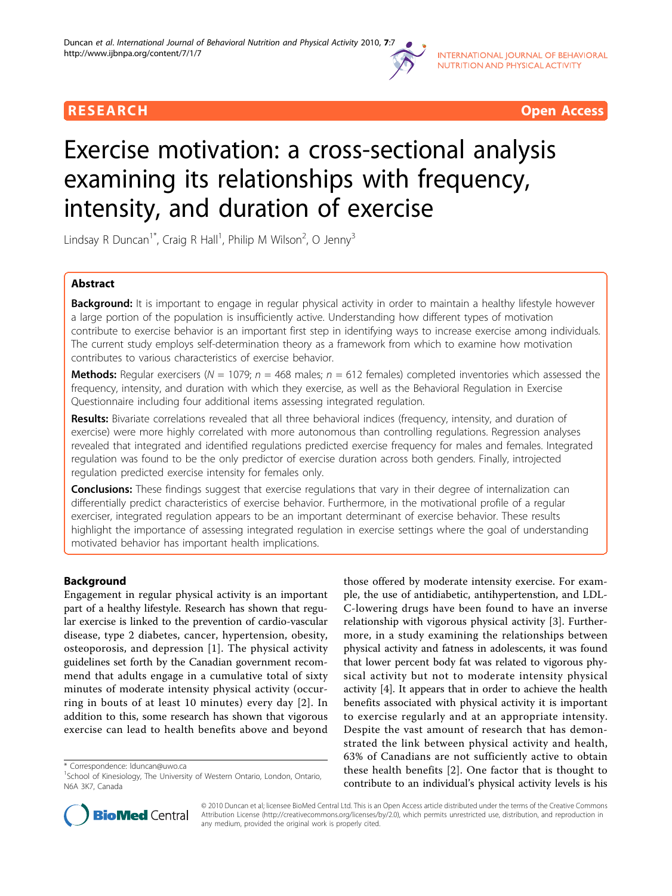



# Exercise motivation: a cross-sectional analysis examining its relationships with frequency, intensity, and duration of exercise

Lindsay R Duncan<sup>1\*</sup>, Craig R Hall<sup>1</sup>, Philip M Wilson<sup>2</sup>, O Jenny<sup>3</sup>

# Abstract

Background: It is important to engage in regular physical activity in order to maintain a healthy lifestyle however a large portion of the population is insufficiently active. Understanding how different types of motivation contribute to exercise behavior is an important first step in identifying ways to increase exercise among individuals. The current study employs self-determination theory as a framework from which to examine how motivation contributes to various characteristics of exercise behavior.

Methods: Regular exercisers ( $N = 1079$ ;  $n = 468$  males;  $n = 612$  females) completed inventories which assessed the frequency, intensity, and duration with which they exercise, as well as the Behavioral Regulation in Exercise Questionnaire including four additional items assessing integrated regulation.

Results: Bivariate correlations revealed that all three behavioral indices (frequency, intensity, and duration of exercise) were more highly correlated with more autonomous than controlling regulations. Regression analyses revealed that integrated and identified regulations predicted exercise frequency for males and females. Integrated regulation was found to be the only predictor of exercise duration across both genders. Finally, introjected regulation predicted exercise intensity for females only.

**Conclusions:** These findings suggest that exercise regulations that vary in their degree of internalization can differentially predict characteristics of exercise behavior. Furthermore, in the motivational profile of a regular exerciser, integrated regulation appears to be an important determinant of exercise behavior. These results highlight the importance of assessing integrated regulation in exercise settings where the goal of understanding motivated behavior has important health implications.

# Background

Engagement in regular physical activity is an important part of a healthy lifestyle. Research has shown that regular exercise is linked to the prevention of cardio-vascular disease, type 2 diabetes, cancer, hypertension, obesity, osteoporosis, and depression [\[1\]](#page-7-0). The physical activity guidelines set forth by the Canadian government recommend that adults engage in a cumulative total of sixty minutes of moderate intensity physical activity (occurring in bouts of at least 10 minutes) every day [[2](#page-7-0)]. In addition to this, some research has shown that vigorous exercise can lead to health benefits above and beyond

\* Correspondence: [lduncan@uwo.ca](mailto:lduncan@uwo.ca)

those offered by moderate intensity exercise. For example, the use of antidiabetic, antihypertenstion, and LDL-C-lowering drugs have been found to have an inverse relationship with vigorous physical activity [[3](#page-7-0)]. Furthermore, in a study examining the relationships between physical activity and fatness in adolescents, it was found that lower percent body fat was related to vigorous physical activity but not to moderate intensity physical activity [\[4](#page-7-0)]. It appears that in order to achieve the health benefits associated with physical activity it is important to exercise regularly and at an appropriate intensity. Despite the vast amount of research that has demonstrated the link between physical activity and health, 63% of Canadians are not sufficiently active to obtain these health benefits [\[2\]](#page-7-0). One factor that is thought to contribute to an individual's physical activity levels is his



© 2010 Duncan et al; licensee BioMed Central Ltd. This is an Open Access article distributed under the terms of the Creative Commons Attribution License [\(http://creativecommons.org/licenses/by/2.0](http://creativecommons.org/licenses/by/2.0)), which permits unrestricted use, distribution, and reproduction in any medium, provided the original work is properly cited.

<sup>&</sup>lt;sup>1</sup>School of Kinesiology, The University of Western Ontario, London, Ontario, N6A 3K7, Canada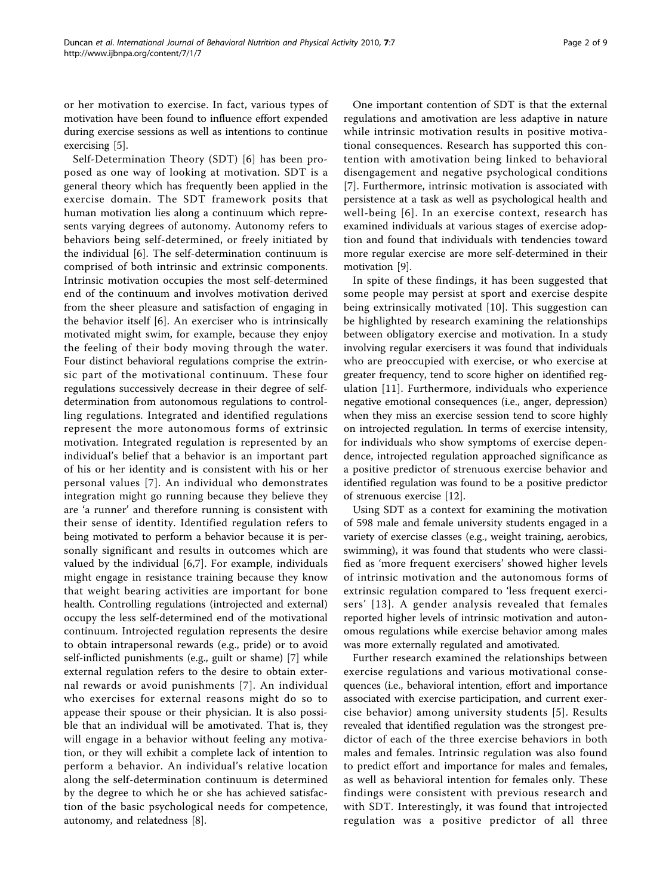or her motivation to exercise. In fact, various types of motivation have been found to influence effort expended during exercise sessions as well as intentions to continue exercising [[5](#page-7-0)].

Self-Determination Theory (SDT) [[6](#page-7-0)] has been proposed as one way of looking at motivation. SDT is a general theory which has frequently been applied in the exercise domain. The SDT framework posits that human motivation lies along a continuum which represents varying degrees of autonomy. Autonomy refers to behaviors being self-determined, or freely initiated by the individual [\[6](#page-7-0)]. The self-determination continuum is comprised of both intrinsic and extrinsic components. Intrinsic motivation occupies the most self-determined end of the continuum and involves motivation derived from the sheer pleasure and satisfaction of engaging in the behavior itself [[6\]](#page-7-0). An exerciser who is intrinsically motivated might swim, for example, because they enjoy the feeling of their body moving through the water. Four distinct behavioral regulations comprise the extrinsic part of the motivational continuum. These four regulations successively decrease in their degree of selfdetermination from autonomous regulations to controlling regulations. Integrated and identified regulations represent the more autonomous forms of extrinsic motivation. Integrated regulation is represented by an individual's belief that a behavior is an important part of his or her identity and is consistent with his or her personal values [[7\]](#page-7-0). An individual who demonstrates integration might go running because they believe they are 'a runner' and therefore running is consistent with their sense of identity. Identified regulation refers to being motivated to perform a behavior because it is personally significant and results in outcomes which are valued by the individual [[6,7\]](#page-7-0). For example, individuals might engage in resistance training because they know that weight bearing activities are important for bone health. Controlling regulations (introjected and external) occupy the less self-determined end of the motivational continuum. Introjected regulation represents the desire to obtain intrapersonal rewards (e.g., pride) or to avoid self-inflicted punishments (e.g., guilt or shame) [\[7](#page-7-0)] while external regulation refers to the desire to obtain external rewards or avoid punishments [[7\]](#page-7-0). An individual who exercises for external reasons might do so to appease their spouse or their physician. It is also possible that an individual will be amotivated. That is, they will engage in a behavior without feeling any motivation, or they will exhibit a complete lack of intention to perform a behavior. An individual's relative location along the self-determination continuum is determined by the degree to which he or she has achieved satisfaction of the basic psychological needs for competence, autonomy, and relatedness [\[8\]](#page-7-0).

One important contention of SDT is that the external regulations and amotivation are less adaptive in nature while intrinsic motivation results in positive motivational consequences. Research has supported this contention with amotivation being linked to behavioral disengagement and negative psychological conditions [[7\]](#page-7-0). Furthermore, intrinsic motivation is associated with persistence at a task as well as psychological health and well-being [[6](#page-7-0)]. In an exercise context, research has examined individuals at various stages of exercise adoption and found that individuals with tendencies toward more regular exercise are more self-determined in their motivation [\[9\]](#page-7-0).

In spite of these findings, it has been suggested that some people may persist at sport and exercise despite being extrinsically motivated [\[10\]](#page-7-0). This suggestion can be highlighted by research examining the relationships between obligatory exercise and motivation. In a study involving regular exercisers it was found that individuals who are preoccupied with exercise, or who exercise at greater frequency, tend to score higher on identified regulation [[11\]](#page-7-0). Furthermore, individuals who experience negative emotional consequences (i.e., anger, depression) when they miss an exercise session tend to score highly on introjected regulation. In terms of exercise intensity, for individuals who show symptoms of exercise dependence, introjected regulation approached significance as a positive predictor of strenuous exercise behavior and identified regulation was found to be a positive predictor of strenuous exercise [[12](#page-7-0)].

Using SDT as a context for examining the motivation of 598 male and female university students engaged in a variety of exercise classes (e.g., weight training, aerobics, swimming), it was found that students who were classified as 'more frequent exercisers' showed higher levels of intrinsic motivation and the autonomous forms of extrinsic regulation compared to 'less frequent exercisers' [[13\]](#page-7-0). A gender analysis revealed that females reported higher levels of intrinsic motivation and autonomous regulations while exercise behavior among males was more externally regulated and amotivated.

Further research examined the relationships between exercise regulations and various motivational consequences (i.e., behavioral intention, effort and importance associated with exercise participation, and current exercise behavior) among university students [[5](#page-7-0)]. Results revealed that identified regulation was the strongest predictor of each of the three exercise behaviors in both males and females. Intrinsic regulation was also found to predict effort and importance for males and females, as well as behavioral intention for females only. These findings were consistent with previous research and with SDT. Interestingly, it was found that introjected regulation was a positive predictor of all three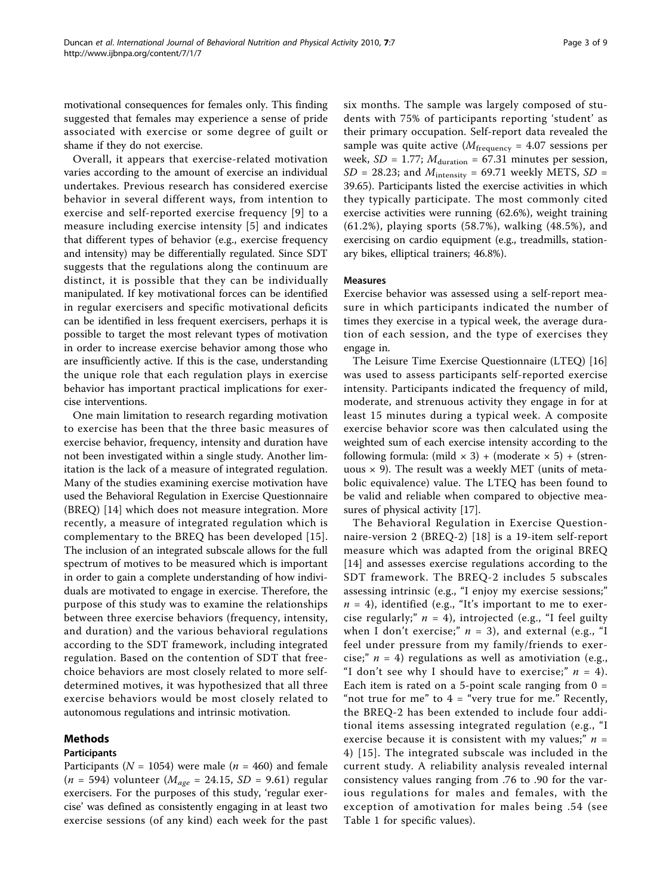motivational consequences for females only. This finding suggested that females may experience a sense of pride associated with exercise or some degree of guilt or shame if they do not exercise.

Overall, it appears that exercise-related motivation varies according to the amount of exercise an individual undertakes. Previous research has considered exercise behavior in several different ways, from intention to exercise and self-reported exercise frequency [[9\]](#page-7-0) to a measure including exercise intensity [\[5\]](#page-7-0) and indicates that different types of behavior (e.g., exercise frequency and intensity) may be differentially regulated. Since SDT suggests that the regulations along the continuum are distinct, it is possible that they can be individually manipulated. If key motivational forces can be identified in regular exercisers and specific motivational deficits can be identified in less frequent exercisers, perhaps it is possible to target the most relevant types of motivation in order to increase exercise behavior among those who are insufficiently active. If this is the case, understanding the unique role that each regulation plays in exercise behavior has important practical implications for exercise interventions.

One main limitation to research regarding motivation to exercise has been that the three basic measures of exercise behavior, frequency, intensity and duration have not been investigated within a single study. Another limitation is the lack of a measure of integrated regulation. Many of the studies examining exercise motivation have used the Behavioral Regulation in Exercise Questionnaire (BREQ) [[14](#page-7-0)] which does not measure integration. More recently, a measure of integrated regulation which is complementary to the BREQ has been developed [[15](#page-7-0)]. The inclusion of an integrated subscale allows for the full spectrum of motives to be measured which is important in order to gain a complete understanding of how individuals are motivated to engage in exercise. Therefore, the purpose of this study was to examine the relationships between three exercise behaviors (frequency, intensity, and duration) and the various behavioral regulations according to the SDT framework, including integrated regulation. Based on the contention of SDT that freechoice behaviors are most closely related to more selfdetermined motives, it was hypothesized that all three exercise behaviors would be most closely related to autonomous regulations and intrinsic motivation.

# Methods

# **Participants**

Participants ( $N = 1054$ ) were male ( $n = 460$ ) and female  $(n = 594)$  volunteer ( $M_{age} = 24.15$ , SD = 9.61) regular exercisers. For the purposes of this study, 'regular exercise' was defined as consistently engaging in at least two exercise sessions (of any kind) each week for the past six months. The sample was largely composed of students with 75% of participants reporting 'student' as their primary occupation. Self-report data revealed the sample was quite active ( $M_{\text{frequency}} = 4.07$  sessions per week,  $SD = 1.77$ ;  $M_{\text{duration}} = 67.31$  minutes per session,  $SD = 28.23$ ; and  $M_{intensity} = 69.71$  weekly METS,  $SD =$ 39.65). Participants listed the exercise activities in which they typically participate. The most commonly cited exercise activities were running (62.6%), weight training (61.2%), playing sports (58.7%), walking (48.5%), and exercising on cardio equipment (e.g., treadmills, stationary bikes, elliptical trainers; 46.8%).

# Measures

Exercise behavior was assessed using a self-report measure in which participants indicated the number of times they exercise in a typical week, the average duration of each session, and the type of exercises they engage in.

The Leisure Time Exercise Questionnaire (LTEQ) [[16](#page-7-0)] was used to assess participants self-reported exercise intensity. Participants indicated the frequency of mild, moderate, and strenuous activity they engage in for at least 15 minutes during a typical week. A composite exercise behavior score was then calculated using the weighted sum of each exercise intensity according to the following formula: (mild  $\times$  3) + (moderate  $\times$  5) + (strenuous  $\times$  9). The result was a weekly MET (units of metabolic equivalence) value. The LTEQ has been found to be valid and reliable when compared to objective measures of physical activity [\[17\]](#page-8-0).

The Behavioral Regulation in Exercise Questionnaire-version 2 (BREQ-2) [[18\]](#page-8-0) is a 19-item self-report measure which was adapted from the original BREQ [[14](#page-7-0)] and assesses exercise regulations according to the SDT framework. The BREQ-2 includes 5 subscales assessing intrinsic (e.g., "I enjoy my exercise sessions;"  $n = 4$ ), identified (e.g., "It's important to me to exercise regularly;"  $n = 4$ ), introjected (e.g., "I feel guilty when I don't exercise;"  $n = 3$ ), and external (e.g., "I feel under pressure from my family/friends to exercise;"  $n = 4$ ) regulations as well as amotiviation (e.g., "I don't see why I should have to exercise;"  $n = 4$ ). Each item is rated on a 5-point scale ranging from  $0 =$ "not true for me" to  $4 =$  "very true for me." Recently, the BREQ-2 has been extended to include four additional items assessing integrated regulation (e.g., "I exercise because it is consistent with my values;"  $n =$ 4) [[15](#page-7-0)]. The integrated subscale was included in the current study. A reliability analysis revealed internal consistency values ranging from .76 to .90 for the various regulations for males and females, with the exception of amotivation for males being .54 (see Table [1](#page-3-0) for specific values).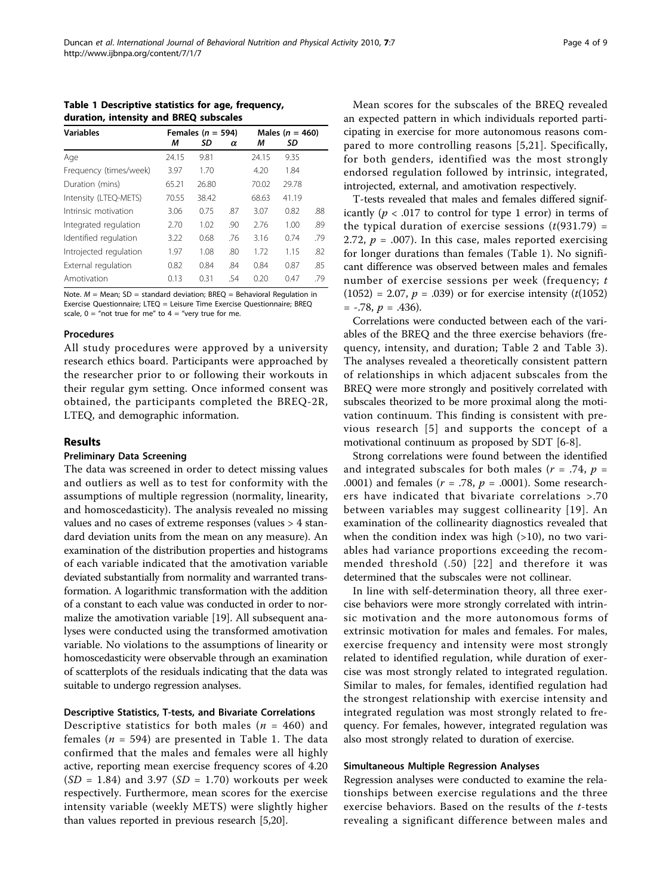<span id="page-3-0"></span>Table 1 Descriptive statistics for age, frequency, duration, intensity and BREQ subscales

| <b>Variables</b>       |       | Females ( $n = 594$ ) |     | Males ( $n = 460$ ) |       |     |  |
|------------------------|-------|-----------------------|-----|---------------------|-------|-----|--|
|                        | м     | SD                    | α   | м                   | SD    |     |  |
| Age                    | 24.15 | 9.81                  |     | 24.15               | 9.35  |     |  |
| Frequency (times/week) | 3.97  | 1.70                  |     | 4.20                | 1.84  |     |  |
| Duration (mins)        | 65.21 | 26.80                 |     | 70.02               | 29.78 |     |  |
| Intensity (LTEQ-METS)  | 70.55 | 38.42                 |     | 68.63               | 41.19 |     |  |
| Intrinsic motivation   | 3.06  | 0.75                  | .87 | 3.07                | 0.82  | .88 |  |
| Integrated regulation  | 2.70  | 1.02                  | .90 | 2.76                | 1.00  | .89 |  |
| Identified regulation  | 3.22  | 0.68                  | .76 | 3.16                | 0.74  | .79 |  |
| Introjected regulation | 1.97  | 1.08                  | .80 | 1.72                | 1.15  | .82 |  |
| External regulation    | 0.82  | 0.84                  | .84 | 0.84                | 0.87  | .85 |  |
| Amotivation            | 0.13  | 0.31                  | .54 | 0.20                | 0.47  | .79 |  |

Note.  $M =$  Mean; SD = standard deviation; BREQ = Behavioral Regulation in Exercise Questionnaire; LTEQ = Leisure Time Exercise Questionnaire; BREQ scale,  $0 =$  "not true for me" to  $4 =$  "very true for me.

#### Procedures

All study procedures were approved by a university research ethics board. Participants were approached by the researcher prior to or following their workouts in their regular gym setting. Once informed consent was obtained, the participants completed the BREQ-2R, LTEQ, and demographic information.

#### Results

# Preliminary Data Screening

The data was screened in order to detect missing values and outliers as well as to test for conformity with the assumptions of multiple regression (normality, linearity, and homoscedasticity). The analysis revealed no missing values and no cases of extreme responses (values > 4 standard deviation units from the mean on any measure). An examination of the distribution properties and histograms of each variable indicated that the amotivation variable deviated substantially from normality and warranted transformation. A logarithmic transformation with the addition of a constant to each value was conducted in order to normalize the amotivation variable [[19\]](#page-8-0). All subsequent analyses were conducted using the transformed amotivation variable. No violations to the assumptions of linearity or homoscedasticity were observable through an examination of scatterplots of the residuals indicating that the data was suitable to undergo regression analyses.

#### Descriptive Statistics, T-tests, and Bivariate Correlations

Descriptive statistics for both males ( $n = 460$ ) and females ( $n = 594$ ) are presented in Table 1. The data confirmed that the males and females were all highly active, reporting mean exercise frequency scores of 4.20  $(SD = 1.84)$  and 3.97  $(SD = 1.70)$  workouts per week respectively. Furthermore, mean scores for the exercise intensity variable (weekly METS) were slightly higher than values reported in previous research [\[5](#page-7-0)[,20\]](#page-8-0).

Mean scores for the subscales of the BREQ revealed an expected pattern in which individuals reported participating in exercise for more autonomous reasons compared to more controlling reasons [[5](#page-7-0)[,21\]](#page-8-0). Specifically, for both genders, identified was the most strongly endorsed regulation followed by intrinsic, integrated, introjected, external, and amotivation respectively.

T-tests revealed that males and females differed significantly ( $p < .017$  to control for type 1 error) in terms of the typical duration of exercise sessions  $(t(931.79)$  = 2.72,  $p = .007$ ). In this case, males reported exercising for longer durations than females (Table 1). No significant difference was observed between males and females number of exercise sessions per week (frequency; t  $(1052) = 2.07, p = .039$  or for exercise intensity  $(t(1052))$  $= -.78, p = .436$ .

Correlations were conducted between each of the variables of the BREQ and the three exercise behaviors (frequency, intensity, and duration; Table [2](#page-4-0) and Table [3](#page-4-0)). The analyses revealed a theoretically consistent pattern of relationships in which adjacent subscales from the BREQ were more strongly and positively correlated with subscales theorized to be more proximal along the motivation continuum. This finding is consistent with previous research [[5](#page-7-0)] and supports the concept of a motivational continuum as proposed by SDT [[6-8\]](#page-7-0).

Strong correlations were found between the identified and integrated subscales for both males ( $r = .74$ ,  $p =$ .0001) and females ( $r = .78$ ,  $p = .0001$ ). Some researchers have indicated that bivariate correlations >.70 between variables may suggest collinearity [[19\]](#page-8-0). An examination of the collinearity diagnostics revealed that when the condition index was high  $(>10)$ , no two variables had variance proportions exceeding the recommended threshold (.50) [[22\]](#page-8-0) and therefore it was determined that the subscales were not collinear.

In line with self-determination theory, all three exercise behaviors were more strongly correlated with intrinsic motivation and the more autonomous forms of extrinsic motivation for males and females. For males, exercise frequency and intensity were most strongly related to identified regulation, while duration of exercise was most strongly related to integrated regulation. Similar to males, for females, identified regulation had the strongest relationship with exercise intensity and integrated regulation was most strongly related to frequency. For females, however, integrated regulation was also most strongly related to duration of exercise.

#### Simultaneous Multiple Regression Analyses

Regression analyses were conducted to examine the relationships between exercise regulations and the three exercise behaviors. Based on the results of the t-tests revealing a significant difference between males and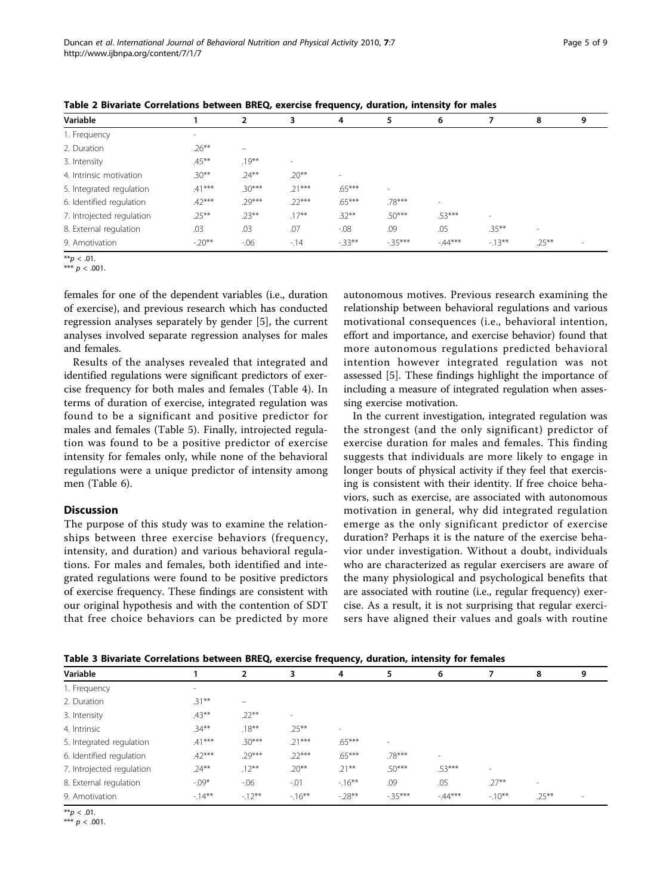| Variable                  |                          | 2                        | 3                        | 4                        | 5                        | 6                        |                          | 8                        | 9      |
|---------------------------|--------------------------|--------------------------|--------------------------|--------------------------|--------------------------|--------------------------|--------------------------|--------------------------|--------|
| 1. Frequency              | $\overline{\phantom{a}}$ |                          |                          |                          |                          |                          |                          |                          |        |
| 2. Duration               | $.26***$                 | $\overline{\phantom{0}}$ |                          |                          |                          |                          |                          |                          |        |
| 3. Intensity              | $.45***$                 | $.19***$                 | $\overline{\phantom{a}}$ |                          |                          |                          |                          |                          |        |
| 4. Intrinsic motivation   | $.30**$                  | $.24***$                 | $.20**$                  | $\overline{\phantom{a}}$ |                          |                          |                          |                          |        |
| 5. Integrated regulation  | $.41***$                 | $30***$                  | $.21***$                 | $.65***$                 | $\overline{\phantom{a}}$ |                          |                          |                          |        |
| 6. Identified regulation  | $.42***$                 | $.29***$                 | $.22***$                 | $.65***$                 | .78***                   | $\overline{\phantom{a}}$ |                          |                          |        |
| 7. Introjected regulation | $.25***$                 | $.23***$                 | $.17***$                 | $.32***$                 | $.50***$                 | $.53***$                 | $\overline{\phantom{a}}$ |                          |        |
| 8. External regulation    | .03                      | .03                      | .07                      | $-0.08$                  | .09                      | .05                      | $.35***$                 | $\overline{\phantom{a}}$ |        |
| 9. Amotivation            | $-20**$                  | $-06$                    | $-14$                    | $-33**$                  | $-35***$                 | $-44***$                 | $-13**$                  | $.25***$                 | $\sim$ |

<span id="page-4-0"></span>Table 2 Bivariate Correlations between BREQ, exercise frequency, duration, intensity for males

 $* p < .01$ .

\*\*\*  $p < .001$ .

females for one of the dependent variables (i.e., duration of exercise), and previous research which has conducted regression analyses separately by gender [\[5](#page-7-0)], the current analyses involved separate regression analyses for males and females.

Results of the analyses revealed that integrated and identified regulations were significant predictors of exercise frequency for both males and females (Table [4\)](#page-5-0). In terms of duration of exercise, integrated regulation was found to be a significant and positive predictor for males and females (Table [5\)](#page-5-0). Finally, introjected regulation was found to be a positive predictor of exercise intensity for females only, while none of the behavioral regulations were a unique predictor of intensity among men (Table [6](#page-6-0)).

# **Discussion**

The purpose of this study was to examine the relationships between three exercise behaviors (frequency, intensity, and duration) and various behavioral regulations. For males and females, both identified and integrated regulations were found to be positive predictors of exercise frequency. These findings are consistent with our original hypothesis and with the contention of SDT that free choice behaviors can be predicted by more autonomous motives. Previous research examining the relationship between behavioral regulations and various motivational consequences (i.e., behavioral intention, effort and importance, and exercise behavior) found that more autonomous regulations predicted behavioral intention however integrated regulation was not assessed [\[5](#page-7-0)]. These findings highlight the importance of including a measure of integrated regulation when assessing exercise motivation.

In the current investigation, integrated regulation was the strongest (and the only significant) predictor of exercise duration for males and females. This finding suggests that individuals are more likely to engage in longer bouts of physical activity if they feel that exercising is consistent with their identity. If free choice behaviors, such as exercise, are associated with autonomous motivation in general, why did integrated regulation emerge as the only significant predictor of exercise duration? Perhaps it is the nature of the exercise behavior under investigation. Without a doubt, individuals who are characterized as regular exercisers are aware of the many physiological and psychological benefits that are associated with routine (i.e., regular frequency) exercise. As a result, it is not surprising that regular exercisers have aligned their values and goals with routine

|  |  |  |  |  | Table 3 Bivariate Correlations between BREQ, exercise frequency, duration, intensity for females |
|--|--|--|--|--|--------------------------------------------------------------------------------------------------|
|--|--|--|--|--|--------------------------------------------------------------------------------------------------|

| Variable                  |                          | 2                        | 3                        | 4                        | 5                        | 6                        |                          | 8                        | 9      |
|---------------------------|--------------------------|--------------------------|--------------------------|--------------------------|--------------------------|--------------------------|--------------------------|--------------------------|--------|
| 1. Frequency              | $\overline{\phantom{a}}$ |                          |                          |                          |                          |                          |                          |                          |        |
| 2. Duration               | $.31***$                 | $\overline{\phantom{0}}$ |                          |                          |                          |                          |                          |                          |        |
| 3. Intensity              | $.43***$                 | $.22***$                 | $\overline{\phantom{a}}$ |                          |                          |                          |                          |                          |        |
| 4. Intrinsic              | $.34***$                 | $.18***$                 | $.25***$                 | $\overline{\phantom{a}}$ |                          |                          |                          |                          |        |
| 5. Integrated regulation  | $.41***$                 | $30***$                  | $.21***$                 | $.65***$                 | $\overline{\phantom{a}}$ |                          |                          |                          |        |
| 6. Identified regulation  | $.42***$                 | $.29***$                 | $.22***$                 | $.65***$                 | .78***                   | $\overline{\phantom{a}}$ |                          |                          |        |
| 7. Introjected regulation | $.24***$                 | $.12***$                 | $.20**$                  | $.21***$                 | $.50***$                 | $.53***$                 | $\overline{\phantom{a}}$ |                          |        |
| 8. External regulation    | $-0.09*$                 | -.06                     | $-.01$                   | $-16***$                 | .09                      | .05                      | $.27***$                 | $\overline{\phantom{a}}$ |        |
| 9. Amotivation            | $-14***$                 | $-12***$                 | $-16***$                 | $-28**$                  | $-35***$                 | $-44***$                 | $-10***$                 | $.25***$                 | $\sim$ |

\*\* $p < .01$ .

\*\*\*  $p < .001$ .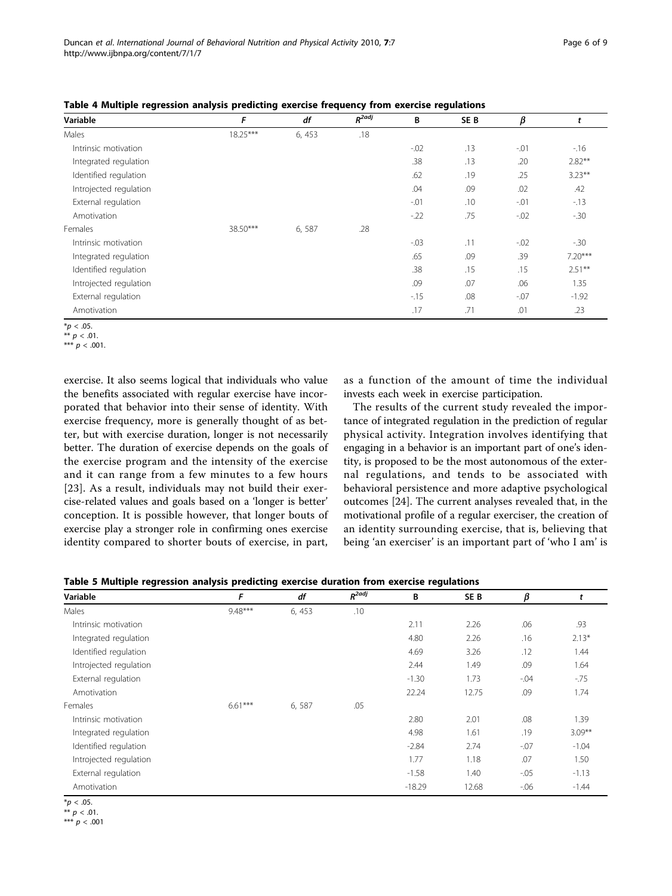| Variable               | F          | df     | $R^{2adj}$ | B       | SE <sub>B</sub> | β       | t         |
|------------------------|------------|--------|------------|---------|-----------------|---------|-----------|
| Males                  | $18.25***$ | 6, 453 | .18        |         |                 |         |           |
| Intrinsic motivation   |            |        |            | $-0.02$ | .13             | $-.01$  | $-16$     |
| Integrated regulation  |            |        |            | .38     | .13             | .20     | $2.82***$ |
| Identified regulation  |            |        |            | .62     | .19             | .25     | $3.23***$ |
| Introjected regulation |            |        |            | .04     | .09             | .02     | .42       |
| External regulation    |            |        |            | $-.01$  | .10             | $-.01$  | $-13$     |
| Amotivation            |            |        |            | $-22$   | .75             | $-0.02$ | $-30$     |
| Females                | 38.50***   | 6,587  | .28        |         |                 |         |           |
| Intrinsic motivation   |            |        |            | $-0.03$ | .11             | $-0.02$ | $-30$     |
| Integrated regulation  |            |        |            | .65     | .09             | .39     | $7.20***$ |
| Identified regulation  |            |        |            | .38     | .15             | .15     | $2.51***$ |
| Introjected regulation |            |        |            | .09     | .07             | .06     | 1.35      |
| External regulation    |            |        |            | $-15$   | .08             | $-0.07$ | $-1.92$   |
| Amotivation            |            |        |            | .17     | .71             | .01     | .23       |

<span id="page-5-0"></span>Table 4 Multiple regression analysis predicting exercise frequency from exercise regulations

\*\*  $p < .01$ .

\*\*\*  $p < .001$ .

exercise. It also seems logical that individuals who value the benefits associated with regular exercise have incorporated that behavior into their sense of identity. With exercise frequency, more is generally thought of as better, but with exercise duration, longer is not necessarily better. The duration of exercise depends on the goals of the exercise program and the intensity of the exercise and it can range from a few minutes to a few hours [[23](#page-8-0)]. As a result, individuals may not build their exercise-related values and goals based on a 'longer is better' conception. It is possible however, that longer bouts of exercise play a stronger role in confirming ones exercise identity compared to shorter bouts of exercise, in part, as a function of the amount of time the individual invests each week in exercise participation.

The results of the current study revealed the importance of integrated regulation in the prediction of regular physical activity. Integration involves identifying that engaging in a behavior is an important part of one's identity, is proposed to be the most autonomous of the external regulations, and tends to be associated with behavioral persistence and more adaptive psychological outcomes [\[24](#page-8-0)]. The current analyses revealed that, in the motivational profile of a regular exerciser, the creation of an identity surrounding exercise, that is, believing that being 'an exerciser' is an important part of 'who I am' is

|  |  | Table 5 Multiple regression analysis predicting exercise duration from exercise regulations |  |  |  |  |  |  |  |  |
|--|--|---------------------------------------------------------------------------------------------|--|--|--|--|--|--|--|--|
|--|--|---------------------------------------------------------------------------------------------|--|--|--|--|--|--|--|--|

| Variable               | F         | df     | $R^{2adj}$ | B        | SE <sub>B</sub> | β       | t         |
|------------------------|-----------|--------|------------|----------|-----------------|---------|-----------|
| Males                  | 9.48***   | 6, 453 | .10        |          |                 |         |           |
| Intrinsic motivation   |           |        |            | 2.11     | 2.26            | .06     | .93       |
| Integrated regulation  |           |        |            | 4.80     | 2.26            | .16     | $2.13*$   |
| Identified regulation  |           |        |            | 4.69     | 3.26            | .12     | 1.44      |
| Introjected regulation |           |        |            | 2.44     | 1.49            | .09     | 1.64      |
| External regulation    |           |        |            | $-1.30$  | 1.73            | $-0.04$ | $-75$     |
| Amotivation            |           |        |            | 22.24    | 12.75           | .09     | 1.74      |
| Females                | $6.61***$ | 6,587  | .05        |          |                 |         |           |
| Intrinsic motivation   |           |        |            | 2.80     | 2.01            | .08     | 1.39      |
| Integrated regulation  |           |        |            | 4.98     | 1.61            | .19     | $3.09***$ |
| Identified regulation  |           |        |            | $-2.84$  | 2.74            | $-0.07$ | $-1.04$   |
| Introjected regulation |           |        |            | 1.77     | 1.18            | .07     | 1.50      |
| External regulation    |           |        |            | $-1.58$  | 1.40            | $-0.05$ | $-1.13$   |
| Amotivation            |           |        |            | $-18.29$ | 12.68           | $-06$   | $-1.44$   |

$$
*p<.05.
$$

\*\*  $p < .01$ .

\*\*\*  $p < .001$ 

 $*_{p}$  < .05.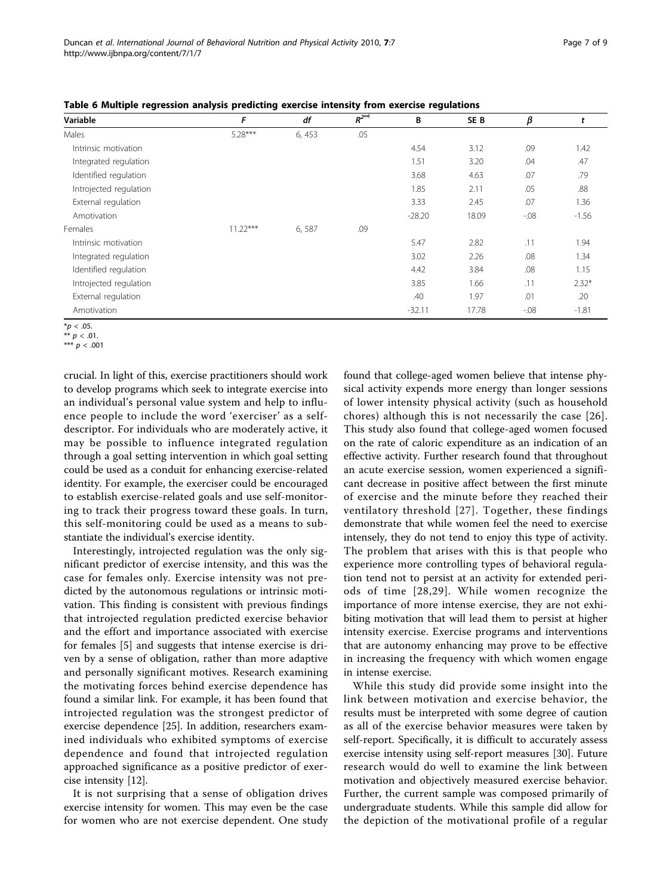| Variable               | F          | df     | $R^{2^{adj}}$ | B        | SE <sub>B</sub> | β       |         |
|------------------------|------------|--------|---------------|----------|-----------------|---------|---------|
| Males                  | $5.28***$  | 6, 453 | .05           |          |                 |         |         |
| Intrinsic motivation   |            |        |               | 4.54     | 3.12            | .09     | 1.42    |
| Integrated regulation  |            |        |               | 1.51     | 3.20            | .04     | .47     |
| Identified regulation  |            |        |               | 3.68     | 4.63            | .07     | .79     |
| Introjected regulation |            |        |               | 1.85     | 2.11            | .05     | .88     |
| External regulation    |            |        |               | 3.33     | 2.45            | .07     | 1.36    |
| Amotivation            |            |        |               | $-28.20$ | 18.09           | $-08$   | $-1.56$ |
| Females                | $11.22***$ | 6,587  | .09           |          |                 |         |         |
| Intrinsic motivation   |            |        |               | 5.47     | 2.82            | .11     | 1.94    |
| Integrated regulation  |            |        |               | 3.02     | 2.26            | .08     | 1.34    |
| Identified regulation  |            |        |               | 4.42     | 3.84            | .08     | 1.15    |
| Introjected regulation |            |        |               | 3.85     | 1.66            | .11     | $2.32*$ |
| External regulation    |            |        |               | .40      | 1.97            | .01     | .20     |
| Amotivation            |            |        |               | $-32.11$ | 17.78           | $-0.08$ | $-1.81$ |

<span id="page-6-0"></span>Table 6 Multiple regression analysis predicting exercise intensity from exercise regulations

crucial. In light of this, exercise practitioners should work to develop programs which seek to integrate exercise into an individual's personal value system and help to influence people to include the word 'exerciser' as a selfdescriptor. For individuals who are moderately active, it may be possible to influence integrated regulation through a goal setting intervention in which goal setting could be used as a conduit for enhancing exercise-related identity. For example, the exerciser could be encouraged to establish exercise-related goals and use self-monitoring to track their progress toward these goals. In turn, this self-monitoring could be used as a means to substantiate the individual's exercise identity.

Interestingly, introjected regulation was the only significant predictor of exercise intensity, and this was the case for females only. Exercise intensity was not predicted by the autonomous regulations or intrinsic motivation. This finding is consistent with previous findings that introjected regulation predicted exercise behavior and the effort and importance associated with exercise for females [\[5](#page-7-0)] and suggests that intense exercise is driven by a sense of obligation, rather than more adaptive and personally significant motives. Research examining the motivating forces behind exercise dependence has found a similar link. For example, it has been found that introjected regulation was the strongest predictor of exercise dependence [[25\]](#page-8-0). In addition, researchers examined individuals who exhibited symptoms of exercise dependence and found that introjected regulation approached significance as a positive predictor of exercise intensity [\[12\]](#page-7-0).

It is not surprising that a sense of obligation drives exercise intensity for women. This may even be the case for women who are not exercise dependent. One study found that college-aged women believe that intense physical activity expends more energy than longer sessions of lower intensity physical activity (such as household chores) although this is not necessarily the case [[26\]](#page-8-0). This study also found that college-aged women focused on the rate of caloric expenditure as an indication of an effective activity. Further research found that throughout an acute exercise session, women experienced a significant decrease in positive affect between the first minute of exercise and the minute before they reached their ventilatory threshold [[27\]](#page-8-0). Together, these findings demonstrate that while women feel the need to exercise intensely, they do not tend to enjoy this type of activity. The problem that arises with this is that people who experience more controlling types of behavioral regulation tend not to persist at an activity for extended periods of time [[28](#page-8-0),[29\]](#page-8-0). While women recognize the importance of more intense exercise, they are not exhibiting motivation that will lead them to persist at higher intensity exercise. Exercise programs and interventions that are autonomy enhancing may prove to be effective in increasing the frequency with which women engage in intense exercise.

While this study did provide some insight into the link between motivation and exercise behavior, the results must be interpreted with some degree of caution as all of the exercise behavior measures were taken by self-report. Specifically, it is difficult to accurately assess exercise intensity using self-report measures [\[30](#page-8-0)]. Future research would do well to examine the link between motivation and objectively measured exercise behavior. Further, the current sample was composed primarily of undergraduate students. While this sample did allow for the depiction of the motivational profile of a regular

 $*_{D}$  < .05.

<sup>\*\*</sup>  $p < .01$ .

<sup>\*\*\*</sup>  $p < .001$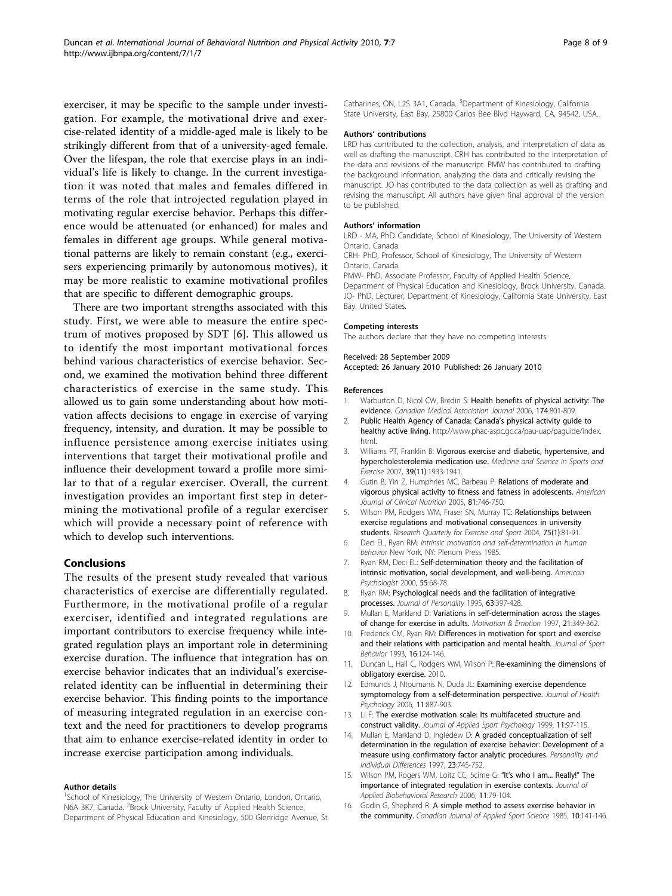<span id="page-7-0"></span>exerciser, it may be specific to the sample under investigation. For example, the motivational drive and exercise-related identity of a middle-aged male is likely to be strikingly different from that of a university-aged female. Over the lifespan, the role that exercise plays in an individual's life is likely to change. In the current investigation it was noted that males and females differed in terms of the role that introjected regulation played in motivating regular exercise behavior. Perhaps this difference would be attenuated (or enhanced) for males and females in different age groups. While general motivational patterns are likely to remain constant (e.g., exercisers experiencing primarily by autonomous motives), it may be more realistic to examine motivational profiles that are specific to different demographic groups.

There are two important strengths associated with this study. First, we were able to measure the entire spectrum of motives proposed by SDT [6]. This allowed us to identify the most important motivational forces behind various characteristics of exercise behavior. Second, we examined the motivation behind three different characteristics of exercise in the same study. This allowed us to gain some understanding about how motivation affects decisions to engage in exercise of varying frequency, intensity, and duration. It may be possible to influence persistence among exercise initiates using interventions that target their motivational profile and influence their development toward a profile more similar to that of a regular exerciser. Overall, the current investigation provides an important first step in determining the motivational profile of a regular exerciser which will provide a necessary point of reference with which to develop such interventions.

#### Conclusions

The results of the present study revealed that various characteristics of exercise are differentially regulated. Furthermore, in the motivational profile of a regular exerciser, identified and integrated regulations are important contributors to exercise frequency while integrated regulation plays an important role in determining exercise duration. The influence that integration has on exercise behavior indicates that an individual's exerciserelated identity can be influential in determining their exercise behavior. This finding points to the importance of measuring integrated regulation in an exercise context and the need for practitioners to develop programs that aim to enhance exercise-related identity in order to increase exercise participation among individuals.

#### Author details

<sup>1</sup>School of Kinesiology, The University of Western Ontario, London, Ontario, N6A 3K7, Canada. <sup>2</sup>Brock University, Faculty of Applied Health Science, Department of Physical Education and Kinesiology, 500 Glenridge Avenue, St Catharines, ON, L2S 3A1, Canada. <sup>3</sup>Department of Kinesiology, California State University, East Bay, 25800 Carlos Bee Blvd Hayward, CA, 94542, USA.

#### Authors' contributions

LRD has contributed to the collection, analysis, and interpretation of data as well as drafting the manuscript. CRH has contributed to the interpretation of the data and revisions of the manuscript. PMW has contributed to drafting the background information, analyzing the data and critically revising the manuscript. JO has contributed to the data collection as well as drafting and revising the manuscript. All authors have given final approval of the version to be published.

#### Authors' information

LRD - MA, PhD Candidate, School of Kinesiology, The University of Western Ontario, Canada.

CRH- PhD, Professor, School of Kinesiology, The University of Western Ontario, Canada.

PMW- PhD, Associate Professor, Faculty of Applied Health Science,

Department of Physical Education and Kinesiology, Brock University, Canada. JO- PhD, Lecturer, Department of Kinesiology, California State University, East Bay, United States.

#### Competing interests

The authors declare that they have no competing interests.

#### Received: 28 September 2009 Accepted: 26 January 2010 Published: 26 January 2010

#### References

- 1. Warburton D, Nicol CW, Bredin S: [Health benefits of physical activity: The](http://www.ncbi.nlm.nih.gov/pubmed/16534088?dopt=Abstract) [evidence.](http://www.ncbi.nlm.nih.gov/pubmed/16534088?dopt=Abstract) Canadian Medical Association Journal 2006, 174:801-809.
- 2. Public Health Agency of Canada: Canada's physical activity guide to healthy active living. [http://www.phac-aspc.gc.ca/pau-uap/paguide/index.](http://www.phac-aspc.gc.ca/pau-uap/paguide/index.html) [html.](http://www.phac-aspc.gc.ca/pau-uap/paguide/index.html)
- 3. Williams PT, Franklin B: [Vigorous exercise and diabetic, hypertensive, and](http://www.ncbi.nlm.nih.gov/pubmed/17986900?dopt=Abstract) [hypercholesterolemia medication use.](http://www.ncbi.nlm.nih.gov/pubmed/17986900?dopt=Abstract) Medicine and Science in Sports and Exercise 2007, 39(11):1933-1941.
- 4. Gutin B, Yin Z, Humphries MC, Barbeau P: [Relations of moderate and](http://www.ncbi.nlm.nih.gov/pubmed/15817847?dopt=Abstract) [vigorous physical activity to fitness and fatness in adolescents.](http://www.ncbi.nlm.nih.gov/pubmed/15817847?dopt=Abstract) American Journal of Clinical Nutrition 2005, 81:746-750.
- 5. Wilson PM, Rodgers WM, Fraser SN, Murray TC: [Relationships between](http://www.ncbi.nlm.nih.gov/pubmed/15532364?dopt=Abstract) [exercise regulations and motivational consequences in university](http://www.ncbi.nlm.nih.gov/pubmed/15532364?dopt=Abstract) [students.](http://www.ncbi.nlm.nih.gov/pubmed/15532364?dopt=Abstract) Research Quarterly for Exercise and Sport 2004, 75(1):81-91.
- 6. Deci EL, Ryan RM: Intrinsic motivation and self-determination in human behavior New York, NY: Plenum Press 1985.
- 7. Ryan RM, Deci EL: [Self-determination theory and the facilitation of](http://www.ncbi.nlm.nih.gov/pubmed/11392867?dopt=Abstract) [intrinsic motivation, social development, and well-being.](http://www.ncbi.nlm.nih.gov/pubmed/11392867?dopt=Abstract) American Psychologist 2000, 55:68-78.
- 8. Ryan RM: [Psychological needs and the facilitation of integrative](http://www.ncbi.nlm.nih.gov/pubmed/7562360?dopt=Abstract) [processes.](http://www.ncbi.nlm.nih.gov/pubmed/7562360?dopt=Abstract) Journal of Personality 1995, 63:397-428.
- 9. Mullan E, Markland D: Variations in self-determination across the stages of change for exercise in adults. Motivation & Emotion 1997, 21:349-362.
- 10. Frederick CM, Ryan RM: Differences in motivation for sport and exercise and their relations with participation and mental health. Journal of Sport Behavior 1993, 16:124-146.
- 11. Duncan L, Hall C, Rodgers WM, Wilson P: Re-examining the dimensions of obligatory exercise. 2010.
- 12. Edmunds J, Ntoumanis N, Duda JL: [Examining exercise dependence](http://www.ncbi.nlm.nih.gov/pubmed/17035261?dopt=Abstract) [symptomology from a self-determination perspective.](http://www.ncbi.nlm.nih.gov/pubmed/17035261?dopt=Abstract) Journal of Health Psychology 2006, 11:887-903.
- 13. Li F: The exercise motivation scale: Its multifaceted structure and construct validity. Journal of Applied Sport Psychology 1999, 11:97-115.
- 14. Mullan E, Markland D, Ingledew D: A graded conceptualization of self determination in the regulation of exercise behavior: Development of a measure using confirmatory factor analytic procedures. Personality and Individual Differences 1997, 23:745-752.
- 15. Wilson PM, Rogers WM, Loitz CC, Scime G: "It's who I am... Really!" The importance of integrated regulation in exercise contexts. Journal of Applied Biobehavioral Research 2006, 11:79-104.
- 16. Godin G, Shepherd R: A simple method to assess exercise behavior in the community. Canadian Journal of Applied Sport Science 1985, 10:141-146.